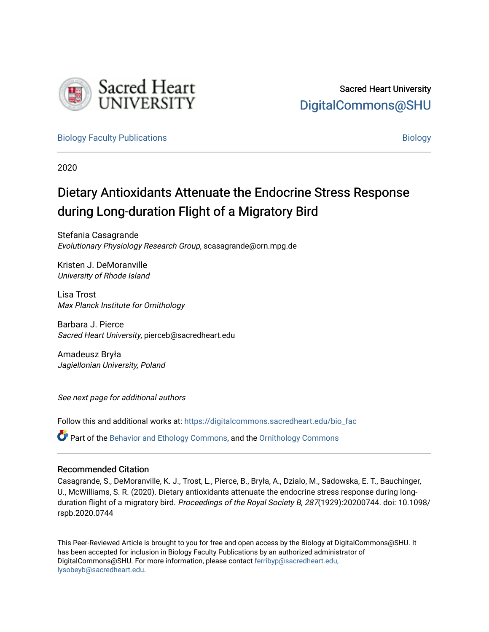

[Biology Faculty Publications](https://digitalcommons.sacredheart.edu/bio_fac) and the state of the state of the state of the [Biology](https://digitalcommons.sacredheart.edu/bio) Biology

2020

# Dietary Antioxidants Attenuate the Endocrine Stress Response during Long-duration Flight of a Migratory Bird

Stefania Casagrande Evolutionary Physiology Research Group, scasagrande@orn.mpg.de

Kristen J. DeMoranville University of Rhode Island

Lisa Trost Max Planck Institute for Ornithology

Barbara J. Pierce Sacred Heart University, pierceb@sacredheart.edu

Amadeusz Bryła Jagiellonian University, Poland

See next page for additional authors

Follow this and additional works at: [https://digitalcommons.sacredheart.edu/bio\\_fac](https://digitalcommons.sacredheart.edu/bio_fac?utm_source=digitalcommons.sacredheart.edu%2Fbio_fac%2F145&utm_medium=PDF&utm_campaign=PDFCoverPages) 

Part of the [Behavior and Ethology Commons,](http://network.bepress.com/hgg/discipline/15?utm_source=digitalcommons.sacredheart.edu%2Fbio_fac%2F145&utm_medium=PDF&utm_campaign=PDFCoverPages) and the [Ornithology Commons](http://network.bepress.com/hgg/discipline/1190?utm_source=digitalcommons.sacredheart.edu%2Fbio_fac%2F145&utm_medium=PDF&utm_campaign=PDFCoverPages) 

## Recommended Citation

Casagrande, S., DeMoranville, K. J., Trost, L., Pierce, B., Bryła, A., Dzialo, M., Sadowska, E. T., Bauchinger, U., McWilliams, S. R. (2020). Dietary antioxidants attenuate the endocrine stress response during longduration flight of a migratory bird. Proceedings of the Royal Society B, 287(1929):20200744. doi: 10.1098/ rspb.2020.0744

This Peer-Reviewed Article is brought to you for free and open access by the Biology at DigitalCommons@SHU. It has been accepted for inclusion in Biology Faculty Publications by an authorized administrator of DigitalCommons@SHU. For more information, please contact [ferribyp@sacredheart.edu,](mailto:ferribyp@sacredheart.edu,%20lysobeyb@sacredheart.edu) [lysobeyb@sacredheart.edu](mailto:ferribyp@sacredheart.edu,%20lysobeyb@sacredheart.edu).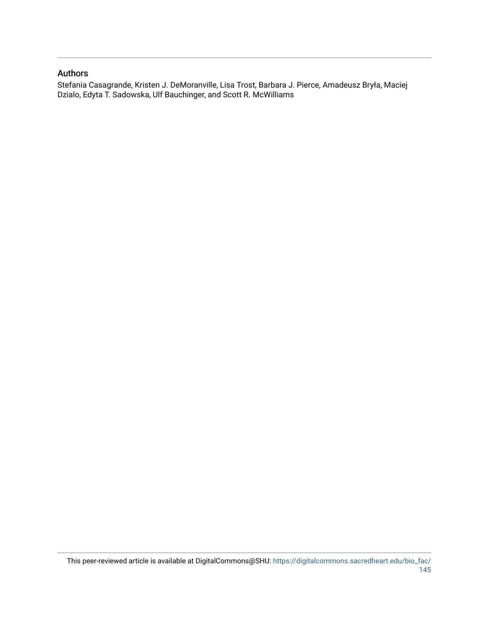#### Authors

Stefania Casagrande, Kristen J. DeMoranville, Lisa Trost, Barbara J. Pierce, Amadeusz Bryła, Maciej Dzialo, Edyta T. Sadowska, Ulf Bauchinger, and Scott R. McWilliams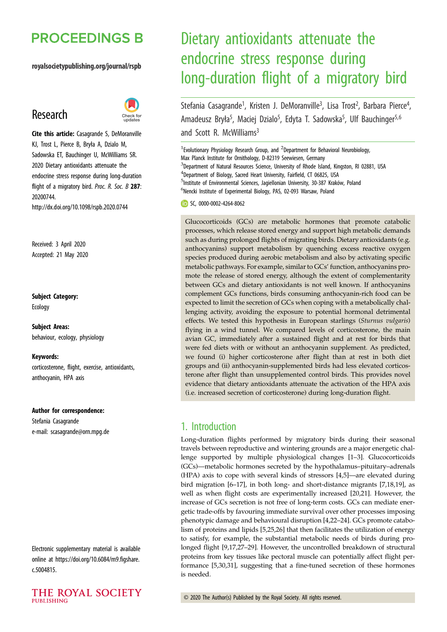# **PROCEEDINGS B**

#### royalsocietypublishing.org/journal/rspb

## Research



Cite this article: Casagrande S, DeMoranville KJ, Trost L, Pierce B, Bryła A, Dzialo M, Sadowska ET, Bauchinger U, McWilliams SR. 2020 Dietary antioxidants attenuate the endocrine stress response during long-duration flight of a migratory bird. Proc. R. Soc. B 287: 20200744. http://dx.doi.org/10.1098/rspb.2020.0744

Received: 3 April 2020 Accepted: 21 May 2020

Subject Category:

Ecology

Subject Areas: behaviour, ecology, physiology

#### Keywords:

corticosterone, flight, exercise, antioxidants, anthocyanin, HPA axis

#### Author for correspondence:

Stefania Casagrande e-mail: [scasagrande@orn.mpg.de](mailto:scasagrande@orn.mpg.de)

Electronic supplementary material is available online at [https://doi.org/10.6084/m9.figshare.](https://doi.org/10.6084/m9.figshare.c.5004815) [c.5004815.](https://doi.org/10.6084/m9.figshare.c.5004815)

# Dietary antioxidants attenuate the endocrine stress response during long-duration flight of a migratory bird

Stefania Casagrande<sup>1</sup>, Kristen J. DeMoranville<sup>3</sup>, Lisa Trost<sup>2</sup>, Barbara Pierce<sup>4</sup>  $\frac{1}{2}$ Amadeusz Bryła<sup>5</sup>, Maciej Dzialo<sup>5</sup>, Edyta T. Sadowska<sup>5</sup>, Ulf Bauchinger<sup>5,6</sup> and Scott R. McWilliams<sup>3</sup>

<sup>1</sup> Evolutionary Physiology Research Group, and <sup>2</sup> Department for Behavioral Neurobiology, Max Planck Institute for Ornithology, D-82319 Seewiesen, Germany <sup>3</sup>Department of Natural Resources Science, University of Rhode Island, Kingston, RI 02881, USA <sup>4</sup>Department of Biology, Sacred Heart University, Fairfield, CT 06825, USA <sup>5</sup>Institute of Environmental Sciences, Jagiellonian University, 30-387 Kraków, Poland 6 Nencki Institute of Experimental Biology, PAS, 02-093 Warsaw, Poland

SC, [0000-0002-4264-8062](http://orcid.org/0000-0002-4264-8062)

Glucocorticoids (GCs) are metabolic hormones that promote catabolic processes, which release stored energy and support high metabolic demands such as during prolonged flights of migrating birds. Dietary antioxidants (e.g. anthocyanins) support metabolism by quenching excess reactive oxygen species produced during aerobic metabolism and also by activating specific metabolic pathways. For example, similar to GCs' function, anthocyanins promote the release of stored energy, although the extent of complementarity between GCs and dietary antioxidants is not well known. If anthocyanins complement GCs functions, birds consuming anthocyanin-rich food can be expected to limit the secretion of GCs when coping with a metabolically challenging activity, avoiding the exposure to potential hormonal detrimental effects. We tested this hypothesis in European starlings (Sturnus vulgaris) flying in a wind tunnel. We compared levels of corticosterone, the main avian GC, immediately after a sustained flight and at rest for birds that were fed diets with or without an anthocyanin supplement. As predicted, we found (i) higher corticosterone after flight than at rest in both diet groups and (ii) anthocyanin-supplemented birds had less elevated corticosterone after flight than unsupplemented control birds. This provides novel evidence that dietary antioxidants attenuate the activation of the HPA axis (i.e. increased secretion of corticosterone) during long-duration flight.

## 1. Introduction

Long-duration flights performed by migratory birds during their seasonal travels between reproductive and wintering grounds are a major energetic challenge supported by multiple physiological changes [[1](#page-7-0)–[3](#page-7-0)]. Glucocorticoids (GCs)––metabolic hormones secreted by the hypothalamus–pituitary–adrenals (HPA) axis to cope with several kinds of stressors [[4](#page-8-0),[5](#page-8-0)]––are elevated during bird migration [[6](#page-8-0)–[17\]](#page-8-0), in both long- and short-distance migrants [[7,18](#page-8-0),[19\]](#page-8-0), as well as when flight costs are experimentally increased [[20,21\]](#page-8-0). However, the increase of GCs secretion is not free of long-term costs. GCs can mediate energetic trade-offs by favouring immediate survival over other processes imposing phenotypic damage and behavioural disruption [\[4,22](#page-8-0)–[24\]](#page-8-0). GCs promote catabolism of proteins and lipids [[5,25](#page-8-0),[26\]](#page-8-0) that then facilitates the utilization of energy to satisfy, for example, the substantial metabolic needs of birds during prolonged flight [[9,17](#page-8-0),[27](#page-8-0)–[29](#page-8-0)]. However, the uncontrolled breakdown of structural proteins from key tissues like pectoral muscle can potentially affect flight performance [[5,30](#page-8-0),[31\]](#page-8-0), suggesting that a fine-tuned secretion of these hormones is needed.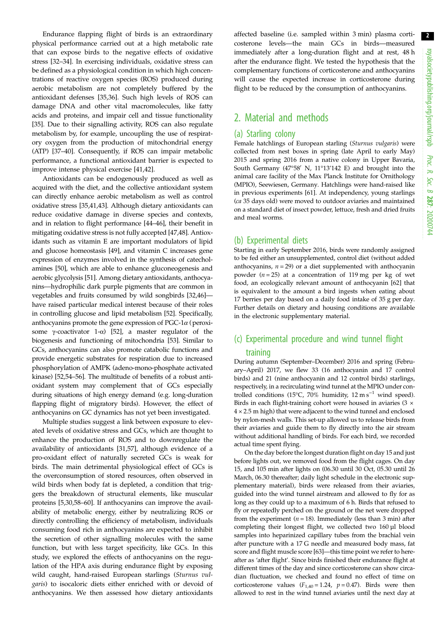Endurance flapping flight of birds is an extraordinary physical performance carried out at a high metabolic rate that can expose birds to the negative effects of oxidative stress [\[32](#page-8-0)–[34\]](#page-8-0). In exercising individuals, oxidative stress can be defined as a physiological condition in which high concentrations of reactive oxygen species (ROS) produced during aerobic metabolism are not completely buffered by the antioxidant defenses [\[35,36](#page-8-0)]. Such high levels of ROS can damage DNA and other vital macromolecules, like fatty acids and proteins, and impair cell and tissue functionality [\[35](#page-8-0)]. Due to their signalling activity, ROS can also regulate metabolism by, for example, uncoupling the use of respiratory oxygen from the production of mitochondrial energy (ATP) [\[37](#page-8-0)–[40\]](#page-8-0). Consequently, if ROS can impair metabolic performance, a functional antioxidant barrier is expected to improve intense physical exercise [\[41,42](#page-8-0)].

Antioxidants can be endogenously produced as well as acquired with the diet, and the collective antioxidant system can directly enhance aerobic metabolism as well as control oxidative stress [\[35](#page-8-0),[41](#page-8-0),[43\]](#page-9-0). Although dietary antioxidants can reduce oxidative damage in diverse species and contexts, and in relation to flight performance [\[44](#page-9-0)–[46\]](#page-9-0), their benefit in mitigating oxidative stress is not fully accepted [[47,48\]](#page-9-0). Antioxidants such as vitamin E are important modulators of lipid and glucose homeostasis [\[49](#page-9-0)], and vitamin C increases gene expression of enzymes involved in the synthesis of catecholamines [\[50](#page-9-0)], which are able to enhance gluconeogenesis and aerobic glycolysis [[51](#page-9-0)]. Among dietary antioxidants, anthocyanins––hydrophilic dark purple pigments that are common in vegetables and fruits consumed by wild songbirds [[32,](#page-8-0)[46\]](#page-9-0)–– have raised particular medical interest because of their roles in controlling glucose and lipid metabolism [\[52](#page-9-0)]. Specifically, anthocyanins promote the gene expression of PGC-1 $\alpha$  (peroxisome γ-coactivator 1-α) [[52](#page-9-0)], a master regulator of the biogenesis and functioning of mitochondria [\[53\]](#page-9-0). Similar to GCs, anthocyanins can also promote catabolic functions and provide energetic substrates for respiration due to increased phosphorylation of AMPK (adeno-mono-phosphate activated kinase) [[52,54](#page-9-0)–[56](#page-9-0)]. The multitude of benefits of a robust antioxidant system may complement that of GCs especially during situations of high energy demand (e.g. long-duration flapping flight of migratory birds). However, the effect of anthocyanins on GC dynamics has not yet been investigated.

Multiple studies suggest a link between exposure to elevated levels of oxidative stress and GCs, which are thought to enhance the production of ROS and to downregulate the availability of antioxidants [[31](#page-8-0),[57\]](#page-9-0), although evidence of a pro-oxidant effect of naturally secreted GCs is weak for birds. The main detrimental physiological effect of GCs is the overconsumption of stored resources, often observed in wild birds when body fat is depleted, a condition that triggers the breakdown of structural elements, like muscular proteins [[5,30](#page-8-0),[58](#page-9-0)–[60](#page-9-0)]. If anthocyanins can improve the availability of metabolic energy, either by neutralizing ROS or directly controlling the efficiency of metabolism, individuals consuming food rich in anthocyanins are expected to inhibit the secretion of other signalling molecules with the same function, but with less target specificity, like GCs. In this study, we explored the effects of anthocyanins on the regulation of the HPA axis during endurance flight by exposing wild caught, hand-raised European starlings (Sturnus vulgaris) to isocaloric diets either enriched with or devoid of anthocyanins. We then assessed how dietary antioxidants affected baseline (i.e. sampled within 3 min) plasma corticosterone levels––the main GCs in birds––measured immediately after a long-duration flight and at rest, 48 h after the endurance flight. We tested the hypothesis that the complementary functions of corticosterone and anthocyanins will cause the expected increase in corticosterone during flight to be reduced by the consumption of anthocyanins.

## 2. Material and methods

#### (a) Starling colony

Female hatchlings of European starling (Sturnus vulgaris) were collected from nest boxes in spring (late April to early May) 2015 and spring 2016 from a native colony in Upper Bavaria, South Germany (47°58' N, 11°13'142 E) and brought into the animal care facility of the Max Planck Institute for Ornithology (MPIO), Seewiesen, Germany. Hatchlings were hand-raised like in previous experiments [[61](#page-9-0)]. At independency, young starlings (ca 35 days old) were moved to outdoor aviaries and maintained on a standard diet of insect powder, lettuce, fresh and dried fruits and meal worms.

#### (b) Experimental diets

Starting in early September 2016, birds were randomly assigned to be fed either an unsupplemented, control diet (without added anthocyanins,  $n = 29$ ) or a diet supplemented with anthocyanin powder ( $n = 25$ ) at a concentration of 119 mg per kg of wet food, an ecologically relevant amount of anthocyanin [[62](#page-9-0)] that is equivalent to the amount a bird ingests when eating about 17 berries per day based on a daily food intake of 35 g per day. Further details on dietary and housing conditions are available in the electronic supplementary material.

## (c) Experimental procedure and wind tunnel flight training

During autumn (September–December) 2016 and spring (February–April) 2017, we flew 33 (16 anthocyanin and 17 control birds) and 21 (nine anthocyanin and 12 control birds) starlings, respectively, in a recirculating wind tunnel at the MPIO under controlled conditions (15°C, 70% humidity, 12 m s<sup>-1</sup> wind speed). Birds in each flight-training cohort were housed in aviaries (3 × 4 × 2.5 m high) that were adjacent to the wind tunnel and enclosed by nylon-mesh walls. This set-up allowed us to release birds from their aviaries and guide them to fly directly into the air stream without additional handling of birds. For each bird, we recorded actual time spent flying.

On the day before the longest duration flight on day 15 and just before lights out, we removed food from the flight cages. On day 15, and 105 min after lights on (06.30 until 30 Oct, 05.30 until 26 March, 06.30 thereafter; daily light schedule in the electronic supplementary material), birds were released from their aviaries, guided into the wind tunnel airstream and allowed to fly for as long as they could up to a maximum of 6 h. Birds that refused to fly or repeatedly perched on the ground or the net were dropped from the experiment ( $n = 18$ ). Immediately (less than 3 min) after completing their longest flight, we collected two 160 µl blood samples into heparinized capillary tubes from the brachial vein after puncture with a 17 G needle and measured body mass, fat score and flight muscle score [\[63\]](#page-9-0)––this time point we refer to hereafter as 'after flight'. Since birds finished their endurance flight at different times of the day and since corticosterone can show circadian fluctuation, we checked and found no effect of time on corticosterone values  $(F_{1,40} = 1.24, p = 0.47)$ . Birds were then allowed to rest in the wind tunnel aviaries until the next day at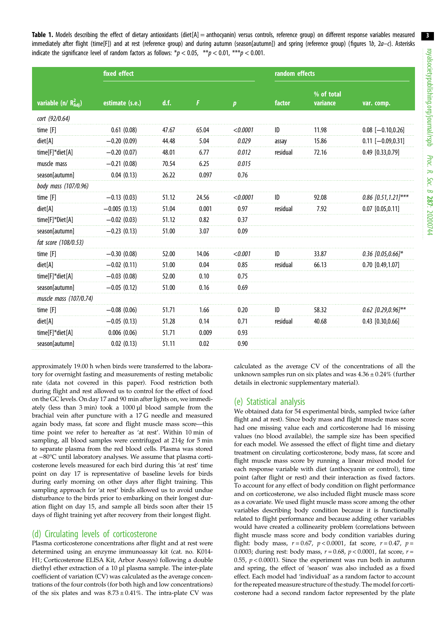<span id="page-4-0"></span>Table 1. Models describing the effect of dietary antioxidants (diet[A] = anthocyanin) versus controls, reference group) on different response variables measured immediately after flight (time[F]) and at rest (reference group) and during autumn (season[autumn]) and spring (reference group) (figures [1](#page-5-0)b, [2](#page-6-0)a–c). Asterisks indicate the significance level of random factors as follows:  $*p < 0.05$ ,  $**p < 0.01$ ,  $***p < 0.001$ .

|                                   | fixed effect    |       | random effects |                  |          |                        |                         |
|-----------------------------------|-----------------|-------|----------------|------------------|----------|------------------------|-------------------------|
| variable (n/ $R_{\text{Adj}}^2$ ) | estimate (s.e.) | d.f.  | F              | $\boldsymbol{p}$ | factor   | % of total<br>variance | var. comp.              |
| cort (92/0.64)                    |                 |       |                |                  |          |                        |                         |
| time [F]                          | 0.61(0.08)      | 47.67 | 65.04          | < 0.0001         | ID       | 11.98                  | $0.08$ [-0.10,0.26]     |
| diet[A]                           | $-0.20(0.09)$   | 44.48 | 5.04           | 0.029            | assay    | 15.86                  | $0.11$ [-0.09,0.31]     |
| time[F]*diet[A]                   | $-0.20(0.07)$   | 48.01 | 6.77           | 0.012            | residual | 72.16                  | 0.49 [0.33,0.79]        |
| muscle mass                       | $-0.21(0.08)$   | 70.54 | 6.25           | 0.015            |          |                        |                         |
| season[autumn]                    | 0.04(0.13)      | 26.22 | 0.097          | 0.76             |          |                        |                         |
| body mass (107/0.96)              |                 |       |                |                  |          |                        |                         |
| time $[F]$                        | $-0.13(0.03)$   | 51.12 | 24.56          | < 0.0001         | ID       | 92.08                  | 0.86 $[0.51, 1.21]$ *** |
| diet[A]                           | $-0.005(0.13)$  | 51.04 | 0.001          | 0.97             | residual | 7.92                   | $0.07$ [0.05,0.11]      |
| time[F]*Diet[A]                   | $-0.02(0.03)$   | 51.12 | 0.82           | 0.37             |          |                        |                         |
| season[autumn]                    | $-0.23(0.13)$   | 51.00 | 3.07           | 0.09             |          |                        |                         |
| fat score (108/0.53)              |                 |       |                |                  |          |                        |                         |
| time [F]                          | $-0.30(0.08)$   | 52.00 | 14.06          | < 0.001          | ID       | 33.87                  | $0.36$ [0.05,0.66]*     |
| diet[A]                           | $-0.02(0.11)$   | 51.00 | 0.04           | 0.85             | residual | 66.13                  | $0.70$ [0.49,1.07]      |
| time[F]*diet[A]                   | $-0.03(0.08)$   | 52.00 | 0.10           | 0.75             |          |                        |                         |
| season[autumn]                    | $-0.05(0.12)$   | 51.00 | 0.16           | 0.69             |          |                        |                         |
| muscle mass (107/0.74)            |                 |       |                |                  |          |                        |                         |
| time [F]                          | $-0.08(0.06)$   | 51.71 | 1.66           | 0.20             | ID       | 58.32                  | $0.62$ [0.29,0.96]**    |
| diet[A]                           | $-0.05(0.13)$   | 51.28 | 0.14           | 0.71             | residual | 40.68                  | $0.43$ [0.30,0.66]      |
| time[F]*diet[A]                   | 0.006(0.06)     | 51.71 | 0.009          | 0.93             |          |                        |                         |
| season[autumn]                    | 0.02(0.13)      | 51.11 | 0.02           | 0.90             |          |                        |                         |

approximately 19.00 h when birds were transferred to the laboratory for overnight fasting and measurements of resting metabolic rate (data not covered in this paper). Food restriction both during flight and rest allowed us to control for the effect of food on the GC levels. On day 17 and 90 min after lights on, we immediately (less than 3 min) took a 1000 µl blood sample from the brachial vein after puncture with a 17 G needle and measured again body mass, fat score and flight muscle mass score––this time point we refer to hereafter as 'at rest'. Within 10 min of sampling, all blood samples were centrifuged at 214g for 5 min to separate plasma from the red blood cells. Plasma was stored at −80°C until laboratory analyses. We assume that plasma corticosterone levels measured for each bird during this 'at rest' time point on day 17 is representative of baseline levels for birds during early morning on other days after flight training. This sampling approach for 'at rest' birds allowed us to avoid undue disturbance to the birds prior to embarking on their longest duration flight on day 15, and sample all birds soon after their 15 days of flight training yet after recovery from their longest flight.

## (d) Circulating levels of corticosterone

Plasma corticosterone concentrations after flight and at rest were determined using an enzyme immunoassay kit (cat. no. K014- H1; Corticosterone ELISA Kit, Arbor Assays) following a double diethyl ether extraction of a 10 µl plasma sample. The inter-plate coefficient of variation (CV) was calculated as the average concentrations of the four controls (for both high and low concentrations) of the six plates and was  $8.73 \pm 0.41\%$ . The intra-plate CV was

calculated as the average CV of the concentrations of all the unknown samples run on six plates and was  $4.36 \pm 0.24\%$  (further details in electronic supplementary material).

## (e) Statistical analysis

We obtained data for 54 experimental birds, sampled twice (after flight and at rest). Since body mass and flight muscle mass score had one missing value each and corticosterone had 16 missing values (no blood available), the sample size has been specified for each model. We assessed the effect of flight time and dietary treatment on circulating corticosterone, body mass, fat score and flight muscle mass score by running a linear mixed model for each response variable with diet (anthocyanin or control), time point (after flight or rest) and their interaction as fixed factors. To account for any effect of body condition on flight performance and on corticosterone, we also included flight muscle mass score as a covariate. We used flight muscle mass score among the other variables describing body condition because it is functionally related to flight performance and because adding other variables would have created a collinearity problem (correlations between flight muscle mass score and body condition variables during flight: body mass,  $r = 0.67$ ,  $p < 0.0001$ , fat score,  $r = 0.47$ ,  $p =$ 0.0003; during rest: body mass,  $r = 0.68$ ,  $p < 0.0001$ , fat score,  $r =$ 0.55,  $p < 0.0001$ ). Since the experiment was run both in autumn and spring, the effect of 'season' was also included as a fixed effect. Each model had 'individual' as a random factor to account for the repeated measure structure of the study. The model for corticosterone had a second random factor represented by the plate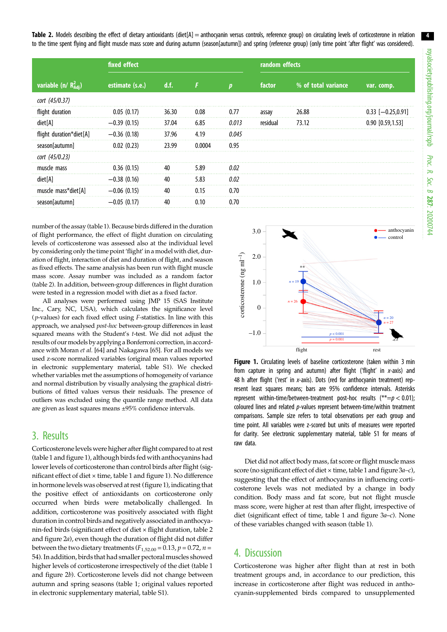<span id="page-5-0"></span>Table 2. Models describing the effect of dietary antioxidants (diet[A] = anthocyanin versus controls, reference group) on circulating levels of corticosterone in relation to the time spent flying and flight muscle mass score and during autumn (season[autumn]) and spring (reference group) (only time point 'after flight' was considered).

|                                   | fixed effect    |       |        |              | random effects |                     |                     |  |
|-----------------------------------|-----------------|-------|--------|--------------|----------------|---------------------|---------------------|--|
| variable (n/ $R_{\text{Adj}}^2$ ) | estimate (s.e.) | d.f.  |        | $\mathbf{n}$ | factor         | % of total variance | var. comp.          |  |
| cort (45/0.37)                    |                 |       |        |              |                |                     |                     |  |
| flight duration                   | 0.05(0.17)      | 36.30 | 0.08   | 0.77         | assay          | 26.88               | $0.33$ [-0.25,0.91] |  |
| diet[A]                           | $-0.39(0.15)$   | 37.04 | 6.85   | 0.013        | residual       | 73.12               | $0.90$ [0.59,1.53]  |  |
| flight duration*diet[A]           | $-0.36(0.18)$   | 37.96 | 4.19   | 0.045        |                |                     |                     |  |
| season[autumn]                    | 0.02(0.23)      | 23.99 | 0.0004 | 0.95         |                |                     |                     |  |
| cort (45/0.23)                    |                 |       |        |              |                |                     |                     |  |
| muscle mass                       | 0.36(0.15)      | 40    | 5.89   | 0.02         |                |                     |                     |  |
| diet[A]                           | $-0.38(0.16)$   | 40    | 5.83   | 0.02         |                |                     |                     |  |
| muscle mass*diet[A]               | $-0.06(0.15)$   | 40    | 0.15   | 0.70         |                |                     |                     |  |
| season autumn]                    | $-0.05(0.17)$   | 40    | 0.10   | 0.70         |                |                     |                     |  |

number of the assay ([table 1](#page-4-0)). Because birds differed in the duration of flight performance, the effect of flight duration on circulating levels of corticosterone was assessed also at the individual level by considering only the time point'flight' in a model with diet, duration of flight, interaction of diet and duration of flight, and season as fixed effects. The same analysis has been run with flight muscle mass score. Assay number was included as a random factor (table 2). In addition, between-group differences in flight duration were tested in a regression model with diet as a fixed factor.

All analyses were performed using JMP 15 (SAS Institute Inc., Cary, NC, USA), which calculates the significance level ( $p$ -values) for each fixed effect using  $F$ -statistics. In line with this approach, we analysed post-hoc between-group differences in least squared means with the Student's t-test. We did not adjust the results of our models by applying a Bonferroni correction, in accordance with Moran et al. [\[64\]](#page-9-0) and Nakagawa [[65](#page-9-0)]. For all models we used z-score normalized variables (original mean values reported in electronic supplementary material, table S1). We checked whether variables met the assumptions of homogeneity of variance and normal distribution by visually analysing the graphical distributions of fitted values versus their residuals. The presence of outliers was excluded using the quantile range method. All data are given as least squares means ±95% confidence intervals.

## 3. Results

Corticosterone levels were higher after flight compared to at rest [\(table 1](#page-4-0) and figure 1), although birds fed with anthocyanins had lower levels of corticosterone than control birds after flight (significant effect of diet × time, [table 1](#page-4-0) and figure 1). No difference in hormone levels was observed at rest (figure 1), indicating that the positive effect of antioxidants on corticosterone only occurred when birds were metabolically challenged. In addition, corticosterone was positively associated with flight duration in control birds and negatively associated in anthocyanin-fed birds (significant effect of diet × flight duration, table 2 and [figure 2](#page-6-0)a), even though the duration of flight did not differ between the two dietary treatments ( $F_{1,52.00} = 0.13$ ,  $p = 0.72$ ,  $n =$ 54). In addition, birds that had smaller pectoralmuscles showed higher levels of corticosterone irrespectively of the diet [\(table 1](#page-4-0) and [figure 2](#page-6-0)b). Corticosterone levels did not change between autumn and spring seasons [\(table 1;](#page-4-0) original values reported in electronic supplementary material, table S1).



Figure 1. Circulating levels of baseline corticosterone (taken within 3 min from capture in spring and autumn) after flight ('flight' in x-axis) and 48 h after flight ('rest' in x-axis). Dots (red for anthocyanin treatment) represent least squares means; bars are 95% confidence intervals. Asterisks represent within-time/between-treatment post-hoc results  $(**=p < 0.01);$ coloured lines and related p-values represent between-time/within treatment comparisons. Sample size refers to total observations per each group and time point. All variables were z-scored but units of measures were reported for clarity. See electronic supplementary material, table S1 for means of raw data.

Diet did not affect body mass, fat score or flight muscle mass score (no significant effect of diet × time, [table 1](#page-4-0) and [figure 3](#page-6-0)a-c), suggesting that the effect of anthocyanins in influencing corticosterone levels was not mediated by a change in body condition. Body mass and fat score, but not flight muscle mass score, were higher at rest than after flight, irrespective of diet (significant effect of time, [table 1](#page-4-0) and [figure 3](#page-6-0)a–c). None of these variables changed with season ([table 1](#page-4-0)).

## 4. Discussion

Corticosterone was higher after flight than at rest in both treatment groups and, in accordance to our prediction, this increase in corticosterone after flight was reduced in anthocyanin-supplemented birds compared to unsupplemented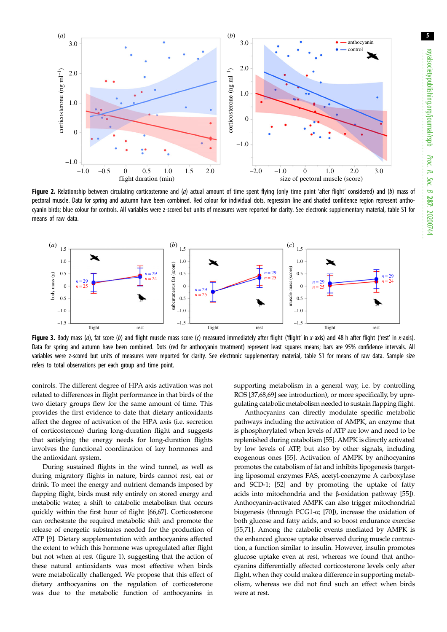<span id="page-6-0"></span>

Figure 2. Relationship between circulating corticosterone and (a) actual amount of time spent flying (only time point 'after flight' considered) and (b) mass of pectoral muscle. Data for spring and autumn have been combined. Red colour for individual dots, regression line and shaded confidence region represent anthocyanin birds; blue colour for controls. All variables were z-scored but units of measures were reported for clarity. See electronic supplementary material, table S1 for means of raw data.



Figure 3. Body mass (a), fat score (b) and flight muscle mass score (c) measured immediately after flight ('flight' in x-axis) and 48 h after flight ('rest' in x-axis). Data for spring and autumn have been combined. Dots (red for anthocyanin treatment) represent least squares means; bars are 95% confidence intervals. All variables were z-scored but units of measures were reported for clarity. See electronic supplementary material, table S1 for means of raw data. Sample size refers to total observations per each group and time point.

controls. The different degree of HPA axis activation was not related to differences in flight performance in that birds of the two dietary groups flew for the same amount of time. This provides the first evidence to date that dietary antioxidants affect the degree of activation of the HPA axis (i.e. secretion of corticosterone) during long-duration flight and suggests that satisfying the energy needs for long-duration flights involves the functional coordination of key hormones and the antioxidant system.

During sustained flights in the wind tunnel, as well as during migratory flights in nature, birds cannot rest, eat or drink. To meet the energy and nutrient demands imposed by flapping flight, birds must rely entirely on stored energy and metabolic water, a shift to catabolic metabolism that occurs quickly within the first hour of flight [\[66,67\]](#page-9-0). Corticosterone can orchestrate the required metabolic shift and promote the release of energetic substrates needed for the production of ATP [[9](#page-8-0)]. Dietary supplementation with anthocyanins affected the extent to which this hormone was upregulated after flight but not when at rest ([figure 1](#page-5-0)), suggesting that the action of these natural antioxidants was most effective when birds were metabolically challenged. We propose that this effect of dietary anthocyanins on the regulation of corticosterone was due to the metabolic function of anthocyanins in supporting metabolism in a general way, i.e. by controlling ROS [\[37](#page-8-0)[,68,69](#page-9-0)] see introduction), or more specifically, by upregulating catabolic metabolism needed to sustain flapping flight.

Anthocyanins can directly modulate specific metabolic pathways including the activation of AMPK, an enzyme that is phosphorylated when levels of ATP are low and need to be replenished during catabolism [[55\]](#page-9-0). AMPK is directly activated by low levels of ATP, but also by other signals, including exogenous ones [[55\]](#page-9-0). Activation of AMPK by anthocyanins promotes the catabolism of fat and inhibits lipogenesis (targeting liposomal enzymes FAS, acetyl-coenzyme A carboxylase and SCD-1; [[52\]](#page-9-0) and by promoting the uptake of fatty acids into mitochondria and the β-oxidation pathway [[55\]](#page-9-0)). Anthocyanin-activated AMPK can also trigger mitochondrial biogenesis (through PCG1-α; [\[70](#page-9-0)]), increase the oxidation of both glucose and fatty acids, and so boost endurance exercise [[55,71\]](#page-9-0). Among the catabolic events mediated by AMPK is the enhanced glucose uptake observed during muscle contraction, a function similar to insulin. However, insulin promotes glucose uptake even at rest, whereas we found that anthocyanins differentially affected corticosterone levels only after flight, when they could make a difference in supporting metabolism, whereas we did not find such an effect when birds were at rest.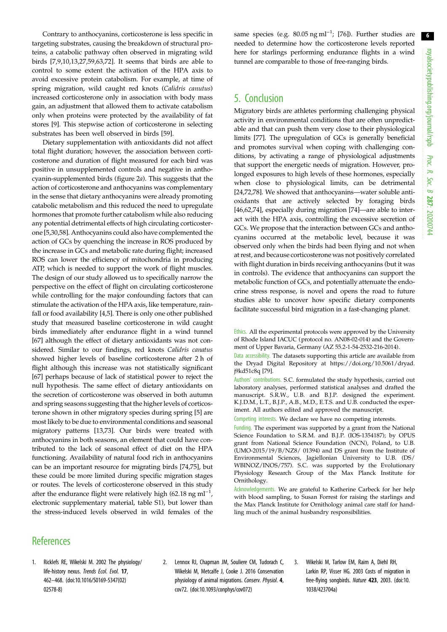<span id="page-7-0"></span>Contrary to anthocyanins, corticosterone is less specific in targeting substrates, causing the breakdown of structural proteins, a catabolic pathway often observed in migrating wild birds [[7,9,10,13](#page-8-0),[27,](#page-8-0)[59,63,72](#page-9-0)]. It seems that birds are able to control to some extent the activation of the HPA axis to avoid excessive protein catabolism. For example, at time of spring migration, wild caught red knots (Calidris canutus) increased corticosterone only in association with body mass gain, an adjustment that allowed them to activate catabolism only when proteins were protected by the availability of fat stores [\[9\]](#page-8-0). This stepwise action of corticosterone in selecting substrates has been well observed in birds [[59](#page-9-0)].

Dietary supplementation with antioxidants did not affect total flight duration; however, the association between corticosterone and duration of flight measured for each bird was positive in unsupplemented controls and negative in anthocyanin-supplemented birds [\(figure 2](#page-6-0)a). This suggests that the action of corticosterone and anthocyanins was complementary in the sense that dietary anthocyanins were already promoting catabolic metabolism and this reduced the need to upregulate hormones that promote further catabolism while also reducing any potential detrimental effects of high circulating corticosterone [\[5,30,](#page-8-0)[58\]](#page-9-0). Anthocyanins could also have complemented the action of GCs by quenching the increase in ROS produced by the increase in GCs and metabolic rate during flight; increased ROS can lower the efficiency of mitochondria in producing ATP, which is needed to support the work of flight muscles. The design of our study allowed us to specifically narrow the perspective on the effect of flight on circulating corticosterone while controlling for the major confounding factors that can stimulate the activation of the HPA axis, like temperature, rainfall or food availability [[4,5\]](#page-8-0). There is only one other published study that measured baseline corticosterone in wild caught birds immediately after endurance flight in a wind tunnel [\[67](#page-9-0)] although the effect of dietary antioxidants was not considered. Similar to our findings, red knots Calidris canatus showed higher levels of baseline corticosterone after 2 h of flight although this increase was not statistically significant [\[67](#page-9-0)] perhaps because of lack of statistical power to reject the null hypothesis. The same effect of dietary antioxidants on the secretion of corticosterone was observed in both autumn and spring seasons suggesting that the higher levels of corticosterone shown in other migratory species during spring [[5](#page-8-0)] are most likely to be due to environmental conditions and seasonal migratory patterns [\[13](#page-8-0)[,73](#page-9-0)]. Our birds were treated with anthocyanins in both seasons, an element that could have contributed to the lack of seasonal effect of diet on the HPA functioning. Availability of natural food rich in anthocyanins can be an important resource for migrating birds [\[74,75](#page-9-0)], but these could be more limited during specific migration stages or routes. The levels of corticosterone observed in this study after the endurance flight were relatively high (62.18 ng ml<sup>-1</sup>, electronic supplementary material, table S1), but lower than the stress-induced levels observed in wild females of the

same species (e.g.  $80.05$  ng ml<sup>-1</sup>; [[76\]](#page-9-0)). Further studies are needed to determine how the corticosterone levels reported here for starlings performing endurance flights in a wind tunnel are comparable to those of free-ranging birds.

## 5. Conclusion

Migratory birds are athletes performing challenging physical activity in environmental conditions that are often unpredictable and that can push them very close to their physiological limits [[77\]](#page-9-0). The upregulation of GCs is generally beneficial and promotes survival when coping with challenging conditions, by activating a range of physiological adjustments that support the energetic needs of migration. However, prolonged exposures to high levels of these hormones, especially when close to physiological limits, can be detrimental [[24,](#page-8-0)[72,78\]](#page-9-0). We showed that anthocyanins––water soluble antioxidants that are actively selected by foraging birds [[46,62,74\]](#page-9-0), especially during migration [\[74](#page-9-0)]—are able to interact with the HPA axis, controlling the excessive secretion of GCs. We propose that the interaction between GCs and anthocyanins occurred at the metabolic level, because it was observed only when the birds had been flying and not when at rest, and because corticosterone was not positively correlated with flight duration in birds receiving anthocyanins (but it was in controls). The evidence that anthocyanins can support the metabolic function of GCs, and potentially attenuate the endocrine stress response, is novel and opens the road to future studies able to uncover how specific dietary components facilitate successful bird migration in a fast-changing planet.

Ethics. All the experimental protocols were approved by the University of Rhode Island IACUC (protocol no. AN08-02-014) and the Government of Upper Bavaria, Germany (AZ 55.2-1-54-2532-216-2014).

Data accessibility. The datasets supporting this article are available from the Dryad Digital Repository at [https://doi.org/10.5061/dryad.](https://doi.org/10.5061/dryad.j9kd51c8q) [j9kd51c8q](https://doi.org/10.5061/dryad.j9kd51c8q) [[79\]](#page-9-0).

Authors' contributions. S.C. formulated the study hypothesis, carried out laboratory analyses, performed statistical analyses and drafted the manuscript. S.R.W., U.B. and B.J.P. designed the experiment. K.J.D.M., L.T., B.J.P., A.B., M.D., E.T.S. and U.B. conducted the experiment. All authors edited and approved the manuscript.

Competing interests. We declare we have no competing interests.

Funding. The experiment was supported by a grant from the National Science Foundation to S.R.M. and B.J.P. (IOS-1354187); by OPUS grant from National Science Foundation (NCN), Poland, to U.B. (UMO-2015/19/B/NZ8/ 01394) and DS grant from the Institute of Environmental Sciences, Jagiellonian University to U.B. (DS/ WBINOZ/INOS/757). S.C. was supported by the Evolutionary Physiology Research Group of the Max Planck Institute for Ornithology.

Acknowledgements. We are grateful to Katherine Carbeck for her help with blood sampling, to Susan Forrest for raising the starlings and the Max Planck Institute for Ornithology animal care staff for handling much of the animal husbandry responsibilities.

## **References**

- 1. Ricklefs RE, Wikelski M. 2002 The physiology/ life-history nexus. Trends Ecol. Evol. 17, 462–468. ([doi:10.1016/S0169-5347\(02\)](http://dx.doi.org/10.1016/S0169-5347(02)02578-8) [02578-8\)](http://dx.doi.org/10.1016/S0169-5347(02)02578-8)
- 2. Lennox RJ, Chapman JM, Souliere CM, Tudorach C, Wikelski M, Metcalfe J, Cooke J. 2016 Conservation physiology of animal migrations. Conserv. Physiol. 4, cov72. ([doi:10.1093/conphys/cov072\)](http://dx.doi.org/10.1093/conphys/cov072)
- 3. Wikelski M, Tarlow EM, Raim A, Diehl RH, Larkin RP, Visser HG. 2003 Costs of migration in free-flying songbirds. Nature 423, 2003. [\(doi:10.](http://dx.doi.org/10.1038/423704a) [1038/423704a](http://dx.doi.org/10.1038/423704a))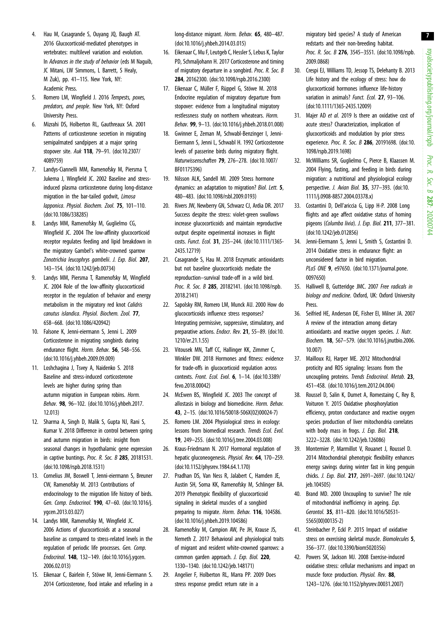- <span id="page-8-0"></span>4. Hau M, Casagrande S, Ouyang JQ, Baugh AT. 2016 Glucocorticoid-mediated phenotypes in vertebrates: multilevel variation and evolution. In Advances in the study of behavior (eds M Naguib, JC Mitani, LW Simmons, L Barrett, S Healy, M Zuk), pp. 41–115. New York, NY: Academic Press.
- 5. Romero LM, Wingfield J. 2016 Tempests, poxes, predators, and people. New York, NY: Oxford University Press.
- 6. Mizrahi DS, Holberton RL, Gauthreaux SA. 2001 Patterns of corticosterone secretion in migrating semipalmated sandpipers at a major spring stopover site. Auk 118, 79–91. [\(doi:10.2307/](http://dx.doi.org/10.2307/4089759) [4089759\)](http://dx.doi.org/10.2307/4089759)
- 7. Landys-Ciannelli MM, Ramenofsky M, Piersma T, Jukema J, Wingfield JC. 2002 Baseline and stressinduced plasma corticosterone during long-distance migration in the bar-tailed godwit, Limosa lapponica. Physiol. Biochem. Zool. 75, 101–110. [\(doi:10.1086/338285](http://dx.doi.org/10.1086/338285))
- 8. Landys MM, Ramenofsky M, Guglielmo CG, Wingfield JC. 2004 The low-affinity glucocorticoid receptor regulates feeding and lipid breakdown in the migratory Gambel's white-crowned sparrow Zonotrichia leucophrys gambelii. J. Exp. Biol. 207, 143–154. ([doi:10.1242/jeb.00734](http://dx.doi.org/10.1242/jeb.00734))
- 9. Landys MM, Piersma T, Ramenofsky M, Wingfield JC. 2004 Role of the low-affinity glucocorticoid receptor in the regulation of behavior and energy metabolism in the migratory red knot Calidris canutus islandica. Physiol. Biochem. Zool. 77, 658–668. ([doi:10.1086/420942\)](http://dx.doi.org/10.1086/420942)
- 10. Falsone K, Jenni-eiermann S, Jenni L. 2009 Corticosterone in migrating songbirds during endurance flight. Horm. Behav. 56, 548–556. [\(doi:10.1016/j.yhbeh.2009.09.009\)](http://dx.doi.org/10.1016/j.yhbeh.2009.09.009)
- 11. Loshchagina J, Tsvey A, Naidenko S. 2018 Baseline and stress-induced corticosterone levels are higher during spring than autumn migration in European robins. Horm. Behav. 98, 96–102. ([doi:10.1016/j.yhbeh.2017.](http://dx.doi.org/10.1016/j.yhbeh.2017.12.013) [12.013\)](http://dx.doi.org/10.1016/j.yhbeh.2017.12.013)
- 12. Sharma A, Singh D, Malik S, Gupta NJ, Rani S, Kumar V. 2018 Difference in control between spring and autumn migration in birds: insight from seasonal changes in hypothalamic gene expression in captive buntings. Proc. R. Soc. B 285, 20181531. [\(doi:10.1098/rspb.2018.1531](http://dx.doi.org/10.1098/rspb.2018.1531))
- 13. Cornelius JM, Boswell T, Jenni-eiermann S, Breuner CW, Ramenofsky M. 2013 Contributions of endocrinology to the migration life history of birds. Gen. Comp. Endocrinol. 190, 47–60. [\(doi:10.1016/j.](http://dx.doi.org/10.1016/j.ygcen.2013.03.027) [ygcen.2013.03.027\)](http://dx.doi.org/10.1016/j.ygcen.2013.03.027)
- 14. Landys MM, Ramenofsky M, Wingfield JC. 2006 Actions of glucocorticoids at a seasonal baseline as compared to stress-related levels in the regulation of periodic life processes. Gen. Comp. Endocrinol. 148, 132–149. [\(doi:10.1016/j.ygcen.](http://dx.doi.org/10.1016/j.ygcen.2006.02.013) [2006.02.013\)](http://dx.doi.org/10.1016/j.ygcen.2006.02.013)
- 15. Eikenaar C, Bairlein F, Stöwe M, Jenni-Eiermann S. 2014 Corticosterone, food intake and refueling in a

long-distance migrant. Horm. Behav. 65, 480–487. [\(doi:10.1016/j.yhbeh.2014.03.015](http://dx.doi.org/10.1016/j.yhbeh.2014.03.015))

- 16. Eikenaar C, Mu F, Leutgeb C, Hessler S, Lebus K, Taylor PD, Schmaljohann H. 2017 Corticosterone and timing of migratory departure in a songbird. Proc. R. Soc. B 284, 20162300. [\(doi:10.1098/rspb.2016.2300\)](http://dx.doi.org/10.1098/rspb.2016.2300)
- 17. Eikenaar C, Müller F, Rüppel G, Stöwe M. 2018 Endocrine regulation of migratory departure from stopover: evidence from a longitudinal migratory restlessness study on northern wheatears. Horm. Behav. 99, 9–13. [\(doi:10.1016/j.yhbeh.2018.01.008\)](http://dx.doi.org/10.1016/j.yhbeh.2018.01.008)
- 18. Gwinner E, Zeman M, Schwabl-Benzinger I, Jenni-Eiermann S, Jenni L, Schwabl H. 1992 Corticosterone levels of passerine birds during migratory flight. Naturwissenschaften 79, 276–278. [\(doi:10.1007/](http://dx.doi.org/10.1007/BF01175396) [BF01175396\)](http://dx.doi.org/10.1007/BF01175396)
- 19. Nilsson ALK, Sandell MI. 2009 Stress hormone dynamics: an adaptation to migration? Biol. Lett. 5, 480–483. ([doi:10.1098/rsbl.2009.0193](http://dx.doi.org/10.1098/rsbl.2009.0193))
- 20. Rivers JW, Newberry GN, Schwarz CJ, Ardia DR. 2017 Success despite the stress: violet-green swallows increase glucocorticoids and maintain reproductive output despite experimental increases in flight costs. Funct. Ecol. 31, 235–244. [\(doi:10.1111/1365-](http://dx.doi.org/10.1111/1365-2435.12719) [2435.12719\)](http://dx.doi.org/10.1111/1365-2435.12719)
- 21. Casagrande S, Hau M. 2018 Enzymatic antioxidants but not baseline glucocorticoids mediate the reproduction–survival trade-off in a wild bird. Proc. R. Soc. B 285, 20182141. [\(doi:10.1098/rspb.](http://dx.doi.org/10.1098/rspb.2018.2141) [2018.2141\)](http://dx.doi.org/10.1098/rspb.2018.2141)
- 22. Sapolsky RM, Romero LM, Munck AU. 2000 How do glucocorticoids influence stress responses? Integrating permissive, suppressive, stimulatory, and preparative actions. Endocr. Rev. 21, 55-89. [\(doi:10.](http://dx.doi.org/10.1210/er.21.1.55) [1210/er.21.1.55](http://dx.doi.org/10.1210/er.21.1.55))
- 23. Vitousek MN, Taff CC, Hallinger KK, Zimmer C, Winkler DW. 2018 Hormones and fitness: evidence for trade-offs in glucocorticoid regulation across contexts. Front. Ecol. Evol. 6, 1–14. [\(doi:10.3389/](http://dx.doi.org/10.3389/fevo.2018.00042) [fevo.2018.00042](http://dx.doi.org/10.3389/fevo.2018.00042))
- 24. McEwen BS, Wingfield JC. 2003 The concept of allostasis in biology and biomedicine. Horm. Behav. 43, 2–15. ([doi:10.1016/S0018-506X\(02\)00024-7\)](http://dx.doi.org/10.1016/S0018-506X(02)00024-7)
- 25. Romero LM. 2004 Physiological stress in ecology: lessons from biomedical research. Trends Ecol. Evol. 19, 249–255. ([doi:10.1016/j.tree.2004.03.008\)](http://dx.doi.org/10.1016/j.tree.2004.03.008)
- 26. Kraus-Friedmann N. 2017 Hormonal regulation of hepatic gluconeogenesis. Physiol. Rev. 64, 170–259. [\(doi:10.1152/physrev.1984.64.1.170](http://dx.doi.org/10.1152/physrev.1984.64.1.170))
- 27. Pradhan DS, Van Ness R, Jalabert C, Hamden JE, Austin SH, Soma KK, Ramenofsky M, Schlinger BA. 2019 Phenotypic flexibility of glucocorticoid signaling in skeletal muscles of a songbird preparing to migrate. Horm. Behav. 116, 104586. [\(doi:10.1016/j.yhbeh.2019.104586](http://dx.doi.org/10.1016/j.yhbeh.2019.104586))
- 28. Ramenofsky M, Campion AW, Pe JH, Krause JS, Nemeth Z. 2017 Behavioral and physiological traits of migrant and resident white-crowned sparrows: a common garden approach. J. Exp. Biol. 220, 1330–1340. [\(doi:10.1242/jeb.148171](http://dx.doi.org/10.1242/jeb.148171))
- 29. Angelier F, Holberton RL, Marra PP. 2009 Does stress response predict return rate in a

migratory bird species? A study of American redstarts and their non-breeding habitat. Proc. R. Soc. B 276, 3545-3551. ([doi:10.1098/rspb.](http://dx.doi.org/10.1098/rspb.2009.0868) [2009.0868](http://dx.doi.org/10.1098/rspb.2009.0868))

- 30. Crespi EJ, Williams TD, Jessop TS, Delehanty B. 2013 Life history and the ecology of stress: how do glucocorticoid hormones influence life-history variation in animals? Funct. Ecol. 27, 93-106. ([doi:10.1111/1365-2435.12009](http://dx.doi.org/10.1111/1365-2435.12009))
- 31. Majer AD et al. 2019 Is there an oxidative cost of acute stress? Characterization, implication of glucocorticoids and modulation by prior stress experience. Proc. R. Soc. B 286, 20191698. [\(doi:10.](http://dx.doi.org/10.1098/rspb.2019.1698) [1098/rspb.2019.1698\)](http://dx.doi.org/10.1098/rspb.2019.1698)
- 32. McWilliams SR, Guglielmo C, Pierce B, Klaassen M. 2004 Flying, fasting, and feeding in birds during migration: a nutritional and physiological ecology perspective. J. Avian Biol. 35, 377–393. [\(doi:10.](http://dx.doi.org/10.1111/j.0908-8857.2004.03378.x) [1111/j.0908-8857.2004.03378.x\)](http://dx.doi.org/10.1111/j.0908-8857.2004.03378.x)
- 33. Costantini D, Dell'ariccia G, Lipp H-P. 2008 Long flights and age affect oxidative status of homing pigeons (Columba livia). J. Exp. Biol. 211, 377–381. ([doi:10.1242/jeb.012856\)](http://dx.doi.org/10.1242/jeb.012856)
- 34. Jenni-Eiermann S, Jenni L, Smith S, Costantini D. 2014 Oxidative stress in endurance flight: an unconsidered factor in bird migration. PLoS ONE 9, e97650. ([doi:10.1371/journal.pone.](http://dx.doi.org/10.1371/journal.pone.0097650) [0097650](http://dx.doi.org/10.1371/journal.pone.0097650))
- 35. Halliwell B, Gutteridge JMC. 2007 Free radicals in biology and medicine. Oxford, UK: Oxford University Press.
- 36. Seifried HE, Anderson DE, Fisher EI, Milner JA. 2007 A review of the interaction among dietary antioxidants and reactive oxygen species. J. Nutr. Biochem. 18, 567–579. [\(doi:10.1016/j.jnutbio.2006.](http://dx.doi.org/10.1016/j.jnutbio.2006.10.007) [10.007](http://dx.doi.org/10.1016/j.jnutbio.2006.10.007))
- 37. Mailloux RJ, Harper ME. 2012 Mitochondrial proticity and ROS signaling: lessons from the uncoupling proteins. Trends Endocrinol. Metab. 23, 451–458. [\(doi:10.1016/j.tem.2012.04.004\)](http://dx.doi.org/10.1016/j.tem.2012.04.004)
- 38. Roussel D, Salin K, Dumet A, Romestaing C, Rey B, Voituron Y. 2015 Oxidative phosphorylation efficiency, proton conductance and reactive oxygen species production of liver mitochondria correlates with body mass in frogs. J. Exp. Biol. 218, 3222–3228. [\(doi:10.1242/jeb.126086](http://dx.doi.org/10.1242/jeb.126086))
- 39. Monternier P, Marmillot V, Rouanet J, Roussel D. 2014 Mitochondrial phenotypic flexibility enhances energy savings during winter fast in king penguin chicks. J. Exp. Biol. 217, 2691–2697. [\(doi:10.1242/](http://dx.doi.org/10.1242/jeb.104505) [jeb.104505](http://dx.doi.org/10.1242/jeb.104505))
- 40. Brand MD. 2000 Uncoupling to survive? The role of mitochondrial inefficiency in ageing. Exp. Gerontol. 35, 811–820. ([doi:10.1016/S0531-](http://dx.doi.org/10.1016/S0531-5565(00)00135-2) [5565\(00\)00135-2](http://dx.doi.org/10.1016/S0531-5565(00)00135-2))
- 41. Steinbacher P, Eckl P. 2015 Impact of oxidative stress on exercising skeletal muscle. Biomolecules 5, 356–377. [\(doi:10.3390/biom5020356\)](http://dx.doi.org/10.3390/biom5020356)
- 42. Powers SK, Jackson MJ. 2008 Exercise-induced oxidative stress: cellular mechanisms and impact on muscle force production. Physiol. Rev. 88, 1243–1276. [\(doi:10.1152/physrev.00031.2007](http://dx.doi.org/10.1152/physrev.00031.2007))